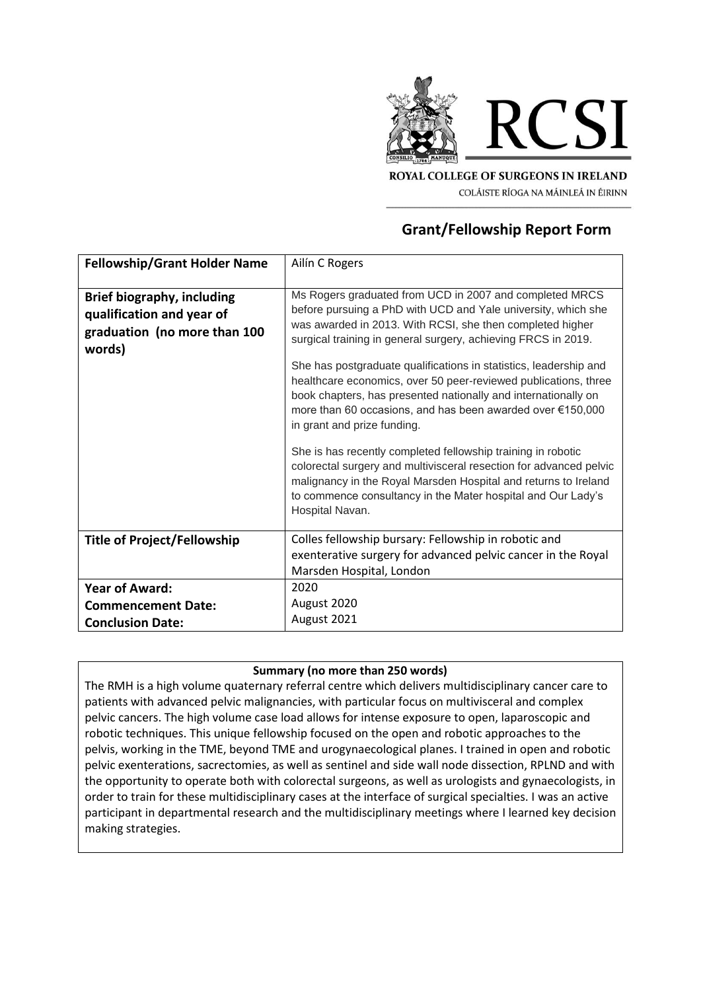

ROYAL COLLEGE OF SURGEONS IN IRELAND COLÁISTE RÍOGA NA MÁINLEÁ IN ÉIRINN

# **Grant/Fellowship Report Form**

| <b>Fellowship/Grant Holder Name</b>                                                                      | Ailín C Rogers                                                                                                                                                                                                                                                                                                                                                                                                                                                                                                                                                                                                                                                                                                                                                                                                                                            |
|----------------------------------------------------------------------------------------------------------|-----------------------------------------------------------------------------------------------------------------------------------------------------------------------------------------------------------------------------------------------------------------------------------------------------------------------------------------------------------------------------------------------------------------------------------------------------------------------------------------------------------------------------------------------------------------------------------------------------------------------------------------------------------------------------------------------------------------------------------------------------------------------------------------------------------------------------------------------------------|
| <b>Brief biography, including</b><br>qualification and year of<br>graduation (no more than 100<br>words) | Ms Rogers graduated from UCD in 2007 and completed MRCS<br>before pursuing a PhD with UCD and Yale university, which she<br>was awarded in 2013. With RCSI, she then completed higher<br>surgical training in general surgery, achieving FRCS in 2019.<br>She has postgraduate qualifications in statistics, leadership and<br>healthcare economics, over 50 peer-reviewed publications, three<br>book chapters, has presented nationally and internationally on<br>more than 60 occasions, and has been awarded over €150,000<br>in grant and prize funding.<br>She is has recently completed fellowship training in robotic<br>colorectal surgery and multivisceral resection for advanced pelvic<br>malignancy in the Royal Marsden Hospital and returns to Ireland<br>to commence consultancy in the Mater hospital and Our Lady's<br>Hospital Navan. |
| <b>Title of Project/Fellowship</b>                                                                       | Colles fellowship bursary: Fellowship in robotic and<br>exenterative surgery for advanced pelvic cancer in the Royal<br>Marsden Hospital, London                                                                                                                                                                                                                                                                                                                                                                                                                                                                                                                                                                                                                                                                                                          |
| <b>Year of Award:</b>                                                                                    | 2020                                                                                                                                                                                                                                                                                                                                                                                                                                                                                                                                                                                                                                                                                                                                                                                                                                                      |
| <b>Commencement Date:</b>                                                                                | August 2020                                                                                                                                                                                                                                                                                                                                                                                                                                                                                                                                                                                                                                                                                                                                                                                                                                               |
| <b>Conclusion Date:</b>                                                                                  | August 2021                                                                                                                                                                                                                                                                                                                                                                                                                                                                                                                                                                                                                                                                                                                                                                                                                                               |

### **Summary (no more than 250 words)**

The RMH is a high volume quaternary referral centre which delivers multidisciplinary cancer care to patients with advanced pelvic malignancies, with particular focus on multivisceral and complex pelvic cancers. The high volume case load allows for intense exposure to open, laparoscopic and robotic techniques. This unique fellowship focused on the open and robotic approaches to the pelvis, working in the TME, beyond TME and urogynaecological planes. I trained in open and robotic pelvic exenterations, sacrectomies, as well as sentinel and side wall node dissection, RPLND and with the opportunity to operate both with colorectal surgeons, as well as urologists and gynaecologists, in order to train for these multidisciplinary cases at the interface of surgical specialties. I was an active participant in departmental research and the multidisciplinary meetings where I learned key decision making strategies.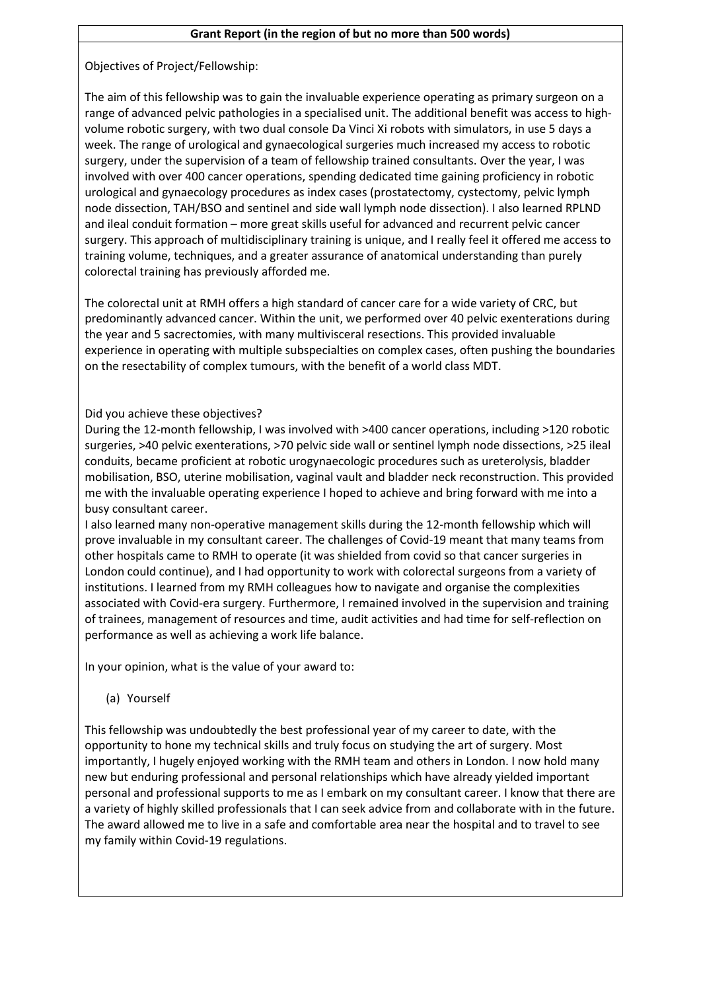### **Grant Report (in the region of but no more than 500 words)**

Objectives of Project/Fellowship:

The aim of this fellowship was to gain the invaluable experience operating as primary surgeon on a range of advanced pelvic pathologies in a specialised unit. The additional benefit was access to highvolume robotic surgery, with two dual console Da Vinci Xi robots with simulators, in use 5 days a week. The range of urological and gynaecological surgeries much increased my access to robotic surgery, under the supervision of a team of fellowship trained consultants. Over the year, I was involved with over 400 cancer operations, spending dedicated time gaining proficiency in robotic urological and gynaecology procedures as index cases (prostatectomy, cystectomy, pelvic lymph node dissection, TAH/BSO and sentinel and side wall lymph node dissection). I also learned RPLND and ileal conduit formation – more great skills useful for advanced and recurrent pelvic cancer surgery. This approach of multidisciplinary training is unique, and I really feel it offered me access to training volume, techniques, and a greater assurance of anatomical understanding than purely colorectal training has previously afforded me.

The colorectal unit at RMH offers a high standard of cancer care for a wide variety of CRC, but predominantly advanced cancer. Within the unit, we performed over 40 pelvic exenterations during the year and 5 sacrectomies, with many multivisceral resections. This provided invaluable experience in operating with multiple subspecialties on complex cases, often pushing the boundaries on the resectability of complex tumours, with the benefit of a world class MDT.

## Did you achieve these objectives?

During the 12-month fellowship, I was involved with >400 cancer operations, including >120 robotic surgeries, >40 pelvic exenterations, >70 pelvic side wall or sentinel lymph node dissections, >25 ileal conduits, became proficient at robotic urogynaecologic procedures such as ureterolysis, bladder mobilisation, BSO, uterine mobilisation, vaginal vault and bladder neck reconstruction. This provided me with the invaluable operating experience I hoped to achieve and bring forward with me into a busy consultant career.

I also learned many non-operative management skills during the 12-month fellowship which will prove invaluable in my consultant career. The challenges of Covid-19 meant that many teams from other hospitals came to RMH to operate (it was shielded from covid so that cancer surgeries in London could continue), and I had opportunity to work with colorectal surgeons from a variety of institutions. I learned from my RMH colleagues how to navigate and organise the complexities associated with Covid-era surgery. Furthermore, I remained involved in the supervision and training of trainees, management of resources and time, audit activities and had time for self-reflection on performance as well as achieving a work life balance.

In your opinion, what is the value of your award to:

(a) Yourself

This fellowship was undoubtedly the best professional year of my career to date, with the opportunity to hone my technical skills and truly focus on studying the art of surgery. Most importantly, I hugely enjoyed working with the RMH team and others in London. I now hold many new but enduring professional and personal relationships which have already yielded important personal and professional supports to me as I embark on my consultant career. I know that there are a variety of highly skilled professionals that I can seek advice from and collaborate with in the future. The award allowed me to live in a safe and comfortable area near the hospital and to travel to see my family within Covid-19 regulations.